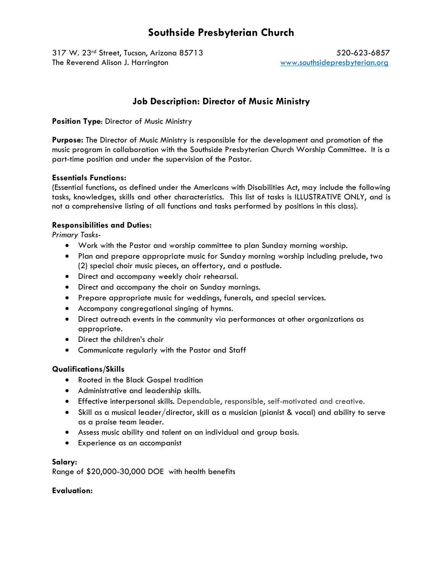# **Southside Presbyterian Church**

317 W. 23<sup>rd</sup> Street, Tucson, Arizona 85713 520-623-6857 The Reverend Alison J. Harrington www.southsidepresbyterian.org

# **Job Description: Director of Music Ministry**

#### **Position Type**: Director of Music Ministry

**Purpose:** The Director of Music Ministry is responsible for the development and promotion of the music program in collaboration with the Southside Presbyterian Church Worship Committee. It is a part-time position and under the supervision of the Pastor.

# **Essentials Functions:**

(Essential functions, as defined under the Americans with Disabilities Act, may include the following tasks, knowledges, skills and other characteristics. This list of tasks is ILLUSTRATIVE ONLY, and is not a comprehensive listing of all functions and tasks performed by positions in this class).

#### **Responsibilities and Duties:**

*Primary Tasks*-

- Work with the Pastor and worship committee to plan Sunday morning worship.
- Plan and prepare appropriate music for Sunday morning worship including prelude, two (2) special choir music pieces, an offertory, and a postlude.
- Direct and accompany weekly choir rehearsal.
- Direct and accompany the choir on Sunday mornings.
- Prepare appropriate music for weddings, funerals, and special services.
- Accompany congregational singing of hymns.
- Direct outreach events in the community via performances at other organizations as appropriate.
- Direct the children's choir
- Communicate regularly with the Pastor and Staff

# **Qualifications/Skills**

- Rooted in the Black Gospel tradition
- Administrative and leadership skills.
- Effective interpersonal skills. Dependable, responsible, self-motivated and creative.
- Skill as a musical leader/director, skill as a musician (pianist & vocal) and ability to serve as a praise team leader.
- Assess music ability and talent on an individual and group basis.
- Experience as an accompanist

# **Salary:**

Range of \$20,000-30,000 DOE with health benefits

# **Evaluation:**